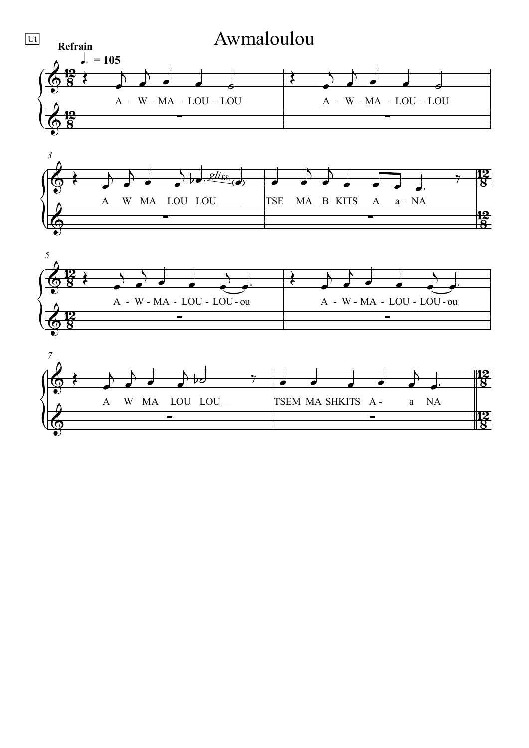





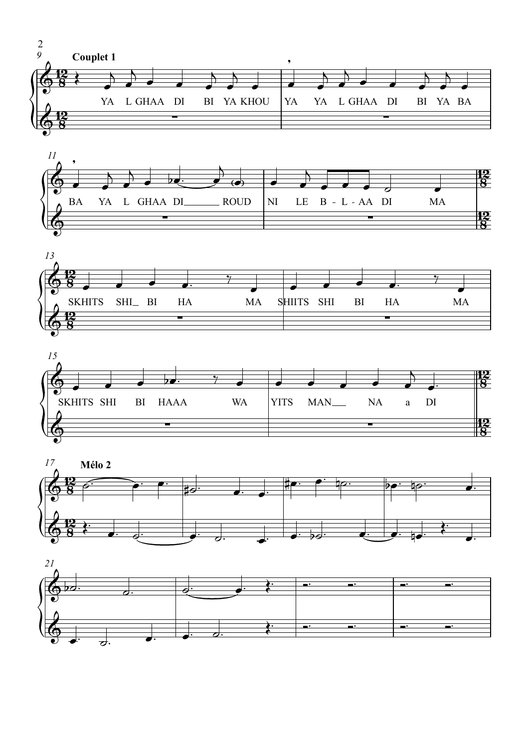